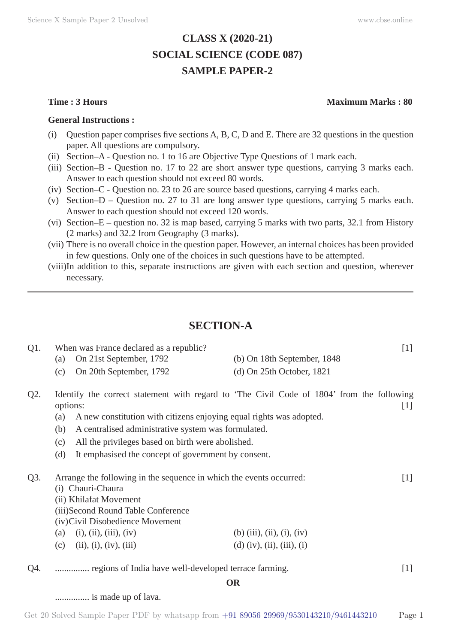# **CLASS X (2020-21) SOCIAL SCIENCE (CODE 087) SAMPLE PAPER-2**

#### **General Instructions :**

- (i) Question paper comprises five sections A, B, C, D and E. There are 32 questions in the question paper. All questions are compulsory.
- (ii) Section–A Question no. 1 to 16 are Objective Type Questions of 1 mark each.
- (iii) Section–B Question no. 17 to 22 are short answer type questions, carrying 3 marks each. Answer to each question should not exceed 80 words.
- (iv) Section–C Question no. 23 to 26 are source based questions, carrying 4 marks each.
- (v) Section–D Question no. 27 to 31 are long answer type questions, carrying 5 marks each. Answer to each question should not exceed 120 words.
- (vi) Section–E question no. 32 is map based, carrying 5 marks with two parts, 32.1 from History (2 marks) and 32.2 from Geography (3 marks).
- (vii) There is no overall choice in the question paper. However, an internal choices has been provided in few questions. Only one of the choices in such questions have to be attempted.
- (viii) In addition to this, separate instructions are given with each section and question, wherever necessary.

# **SECTION-A**

| Q1.    | When was France declared as a republic?                                                               |                                       | $[1]$ |
|--------|-------------------------------------------------------------------------------------------------------|---------------------------------------|-------|
|        | On 21st September, 1792<br>(a)                                                                        | (b) On 18th September, 1848           |       |
|        | On 20th September, 1792<br>(c)                                                                        | $(d)$ On 25th October, 1821           |       |
| $Q2$ . | Identify the correct statement with regard to 'The Civil Code of 1804' from the following<br>options: |                                       | $[1]$ |
|        | A new constitution with citizens enjoying equal rights was adopted.<br>(a)                            |                                       |       |
|        | A centralised administrative system was formulated.<br>(b)                                            |                                       |       |
|        | All the privileges based on birth were abolished.<br>(c)                                              |                                       |       |
|        | (d)<br>It emphasised the concept of government by consent.                                            |                                       |       |
| Q3.    | Arrange the following in the sequence in which the events occurred:<br>(i) Chauri-Chaura              |                                       | $[1]$ |
|        | (ii) Khilafat Movement                                                                                |                                       |       |
|        | (iii)Second Round Table Conference                                                                    |                                       |       |
|        | (iv)Civil Disobedience Movement                                                                       |                                       |       |
|        | (i), (ii), (iii), (iv)<br>(a)                                                                         | (b) $(iii)$ , $(ii)$ , $(i)$ , $(iv)$ |       |
|        | (ii), (i), (iv), (iii)<br>(c)                                                                         | (d) $(iv)$ , $(ii)$ , $(iii)$ , $(i)$ |       |
| Q4.    | regions of India have well-developed terrace farming.                                                 |                                       | $[1]$ |
|        |                                                                                                       | <b>OR</b>                             |       |
|        | is made up of lava.                                                                                   |                                       |       |

### **Time : 3 Hours Maximum Marks : 80**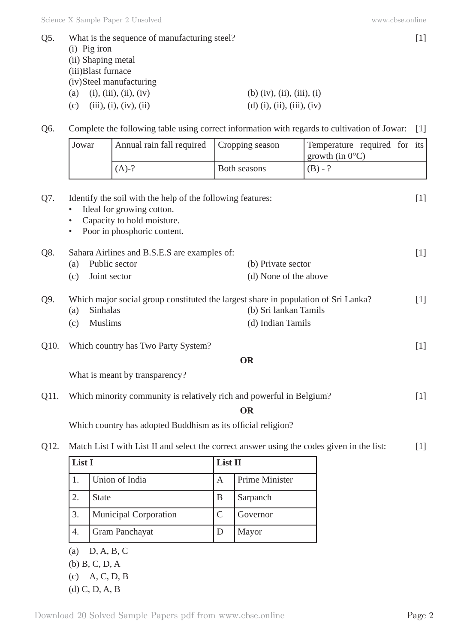| Q5. | What is the sequence of manufacturing steel? |                                       |  |  |
|-----|----------------------------------------------|---------------------------------------|--|--|
|     | $(i)$ Pig iron                               |                                       |  |  |
|     | (ii) Shaping metal                           |                                       |  |  |
|     | (iii) Blast furnace                          |                                       |  |  |
|     | (iv) Steel manufacturing                     |                                       |  |  |
|     | (i), (iii), (ii), (iv)<br>(a)                | (b) $(iv)$ , $(ii)$ , $(iii)$ , $(i)$ |  |  |
|     | (iii), (i), (iv), (ii)<br>(c)                | $(d)$ (i), (ii), (iii), (iv)          |  |  |
|     |                                              |                                       |  |  |

Q6. Complete the following table using correct information with regards to cultivation of Jowar: [1]

|      | Jowar                                    | Annual rain fall required                                                                                                                            | Cropping season                             | Temperature required for its |       |
|------|------------------------------------------|------------------------------------------------------------------------------------------------------------------------------------------------------|---------------------------------------------|------------------------------|-------|
|      |                                          |                                                                                                                                                      |                                             | growth (in $0^{\circ}$ C)    |       |
|      |                                          | $(A)-?$                                                                                                                                              | Both seasons                                | $(B) - ?$                    |       |
| Q7.  | $\bullet$<br>٠<br>$\bullet$              | Identify the soil with the help of the following features:<br>Ideal for growing cotton.<br>Capacity to hold moisture.<br>Poor in phosphoric content. |                                             |                              | $[1]$ |
| Q8.  | (a)<br>(c)                               | Sahara Airlines and B.S.E.S are examples of:<br>Public sector<br>Joint sector                                                                        | (b) Private sector<br>(d) None of the above |                              | $[1]$ |
| Q9.  | Sinhalas<br>(a)<br><b>Muslims</b><br>(c) | Which major social group constituted the largest share in population of Sri Lanka?                                                                   | (b) Sri lankan Tamils<br>(d) Indian Tamils  |                              | $[1]$ |
| Q10. |                                          | Which country has Two Party System?                                                                                                                  |                                             |                              | $[1]$ |

**OR**

What is meant by transparency?

| Q11. | Which minority community is relatively rich and powerful in Belgium? |  |  |
|------|----------------------------------------------------------------------|--|--|
|      |                                                                      |  |  |

**OR**

Which country has adopted Buddhism as its official religion?

Q12. Match List I with List II and select the correct answer using the codes given in the list: [1]

| List I           |                              | List II |                |
|------------------|------------------------------|---------|----------------|
|                  | Union of India               | A       | Prime Minister |
| 2.               | <b>State</b>                 | B       | Sarpanch       |
| 3.               | <b>Municipal Corporation</b> |         | Governor       |
| $\overline{4}$ . | Gram Panchayat               |         | Mayor          |

- (a) D, A, B, C
- (b) B, C, D, A
- (c) A, C, D, B
- (d) C, D, A, B

Download 20 Solved Sample Papers pdf from [www.cbse.online](http://www.cbse.online) Page 2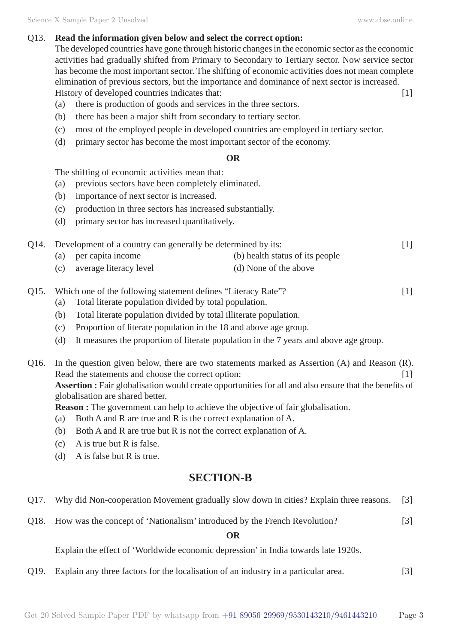#### Q13. **Read the information given below and select the correct option:**

The developed countries have gone through historic changes in the economic sector as the economic activities had gradually shifted from Primary to Secondary to Tertiary sector. Now service sector has become the most important sector. The shifting of economic activities does not mean complete elimination of previous sectors, but the importance and dominance of next sector is increased. History of developed countries indicates that: [1]

- (a) there is production of goods and services in the three sectors.
- (b) there has been a major shift from secondary to tertiary sector.
- (c) most of the employed people in developed countries are employed in tertiary sector.
- (d) primary sector has become the most important sector of the economy.

#### **OR**

The shifting of economic activities mean that:

- (a) previous sectors have been completely eliminated.
- (b) importance of next sector is increased.
- (c) production in three sectors has increased substantially.
- (d) primary sector has increased quantitatively.

| Q14. Development of a country can generally be determined by its: |                            |                                 | [1] |
|-------------------------------------------------------------------|----------------------------|---------------------------------|-----|
|                                                                   | (a) per capita income      | (b) health status of its people |     |
|                                                                   | (c) average literacy level | (d) None of the above           |     |

- Q15. Which one of the following statement defines "Literacy Rate"? [1]
	- (a) Total literate population divided by total population.
	- (b) Total literate population divided by total illiterate population.
	- (c) Proportion of literate population in the 18 and above age group.
	- (d) It measures the proportion of literate population in the 7 years and above age group.
- Q16. In the question given below, there are two statements marked as Assertion (A) and Reason (R). Read the statements and choose the correct option: [1] **Assertion :** Fair globalisation would create opportunities for all and also ensure that the benefits of globalisation are shared better.

**Reason :** The government can help to achieve the objective of fair globalisation.

- (a) Both A and R are true and R is the correct explanation of A.
- (b) Both A and R are true but R is not the correct explanation of A.
- (c) A is true but R is false.
- (d) A is false but R is true.

# **SECTION-B**

- Q17. Why did Non-cooperation Movement gradually slow down in cities? Explain three reasons. [3]
- Q18. How was the concept of 'Nationalism' introduced by the French Revolution? [3]

**OR**

Explain the effect of 'Worldwide economic depression' in India towards late 1920s.

Q19. Explain any three factors for the localisation of an industry in a particular area. [3]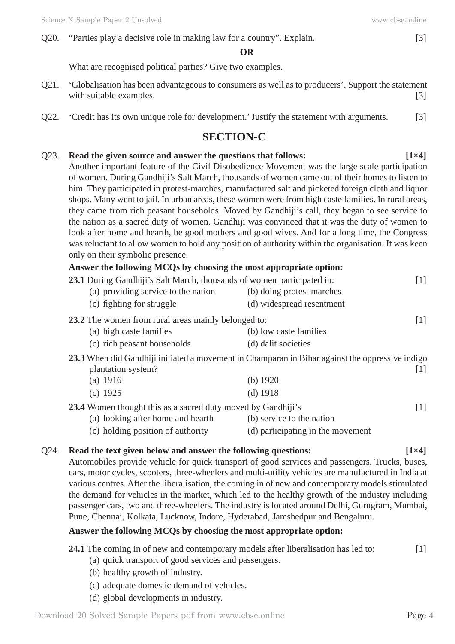#### **OR**

What are recognised political parties? Give two examples.

- Q21. 'Globalisation has been advantageous to consumers as well as to producers'. Support the statement with suitable examples. [3]
- Q22. 'Credit has its own unique role for development.' Justify the statement with arguments. [3]

# **SECTION-C**

# Q23. **Read the given source and answer the questions that follows: [1×4]** Another important feature of the Civil Disobedience Movement was the large scale participation of women. During Gandhiji's Salt March, thousands of women came out of their homes to listen to him. They participated in protest-marches, manufactured salt and picketed foreign cloth and liquor shops. Many went to jail. In urban areas, these women were from high caste families. In rural areas, they came from rich peasant households. Moved by Gandhiji's call, they began to see service to the nation as a sacred duty of women. Gandhiji was convinced that it was the duty of women to look after home and hearth, be good mothers and good wives. And for a long time, the Congress was reluctant to allow women to hold any position of authority within the organisation. It was keen only on their symbolic presence. **Answer the following MCQs by choosing the most appropriate option:**

| 23.1 During Gandhiji's Salt March, thousands of women participated in: | $[1]$                                                                                           |
|------------------------------------------------------------------------|-------------------------------------------------------------------------------------------------|
| (a) providing service to the nation                                    | (b) doing protest marches                                                                       |
| (c) fighting for struggle                                              | (d) widespread resentment                                                                       |
| 23.2 The women from rural areas mainly belonged to:                    | $[1]$                                                                                           |
| (a) high caste families                                                | (b) low caste families                                                                          |
| (c) rich peasant households                                            | (d) dalit societies                                                                             |
| plantation system?                                                     | 23.3 When did Gandhiji initiated a movement in Champaran in Bihar against the oppressive indigo |
| (a) $1916$                                                             | 1  <br>(b) $1920$                                                                               |
|                                                                        |                                                                                                 |
| $(c)$ 1925                                                             | $(d)$ 1918                                                                                      |
| <b>23.4</b> Women thought this as a sacred duty moved by Gandhiji's    | $[1]$                                                                                           |
| (a) looking after home and hearth                                      | (b) service to the nation                                                                       |

(c) holding position of authority (d) participating in the movement

## Q24. **Read the text given below and answer the following questions: [1×4]**

Automobiles provide vehicle for quick transport of good services and passengers. Trucks, buses, cars, motor cycles, scooters, three-wheelers and multi-utility vehicles are manufactured in India at various centres. After the liberalisation, the coming in of new and contemporary models stimulated the demand for vehicles in the market, which led to the healthy growth of the industry including passenger cars, two and three-wheelers. The industry is located around Delhi, Gurugram, Mumbai, Pune, Chennai, Kolkata, Lucknow, Indore, Hyderabad, Jamshedpur and Bengaluru.

# **Answer the following MCQs by choosing the most appropriate option:**

- (a) quick transport of good services and passengers.
- (b) healthy growth of industry.
- (c) adequate domestic demand of vehicles.
- (d) global developments in industry.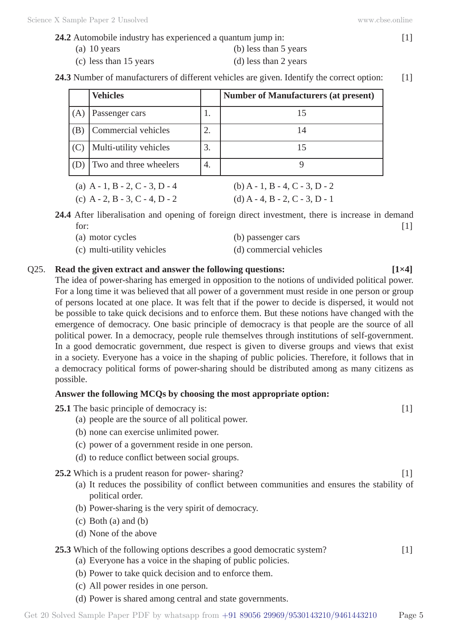**24.2** Automobile industry has experienced a quantum jump in: [1]

(a) 10 years (b) less than 5 years (c) less than 15 years (d) less than 2 years

24.3 Number of manufacturers of different vehicles are given. Identify the correct option: [1]

|     | <b>Vehicles</b>               |    | <b>Number of Manufacturers (at present)</b>                                                                                                                                                                                   |
|-----|-------------------------------|----|-------------------------------------------------------------------------------------------------------------------------------------------------------------------------------------------------------------------------------|
| (A) | Passenger cars                | ı. |                                                                                                                                                                                                                               |
| (B) | Commercial vehicles           |    | 14                                                                                                                                                                                                                            |
| (C) | Multi-utility vehicles        | 3. |                                                                                                                                                                                                                               |
| (D) | Two and three wheelers        | 4. |                                                                                                                                                                                                                               |
|     | $(1)$ $(1)$ $(2)$ $(3)$ $(4)$ |    | $(1)$ $(1)$ $(1)$ $(1)$ $(1)$ $(1)$ $(1)$ $(1)$ $(1)$ $(1)$ $(1)$ $(1)$ $(1)$ $(1)$ $(1)$ $(1)$ $(1)$ $(1)$ $(1)$ $(1)$ $(1)$ $(1)$ $(1)$ $(1)$ $(1)$ $(1)$ $(1)$ $(1)$ $(1)$ $(1)$ $(1)$ $(1)$ $(1)$ $(1)$ $(1)$ $(1)$ $(1)$ |

| (a) A - 1, B - 2, C - 3, D - 4 | (b) A - 1, B - 4, C - 3, D - 2            |
|--------------------------------|-------------------------------------------|
| (c) A - 2, B - 3, C - 4, D - 2 | (d) $A - 4$ , $B - 2$ , $C - 3$ , $D - 1$ |

**24.4** After liberalisation and opening of foreign direct investment, there is increase in demand for:  $[1]$ 

- (a) motor cycles (b) passenger cars
- (c) multi-utility vehicles (d) commercial vehicles

## Q25. **Read the given extract and answer the following questions: [1×4]**

The idea of power-sharing has emerged in opposition to the notions of undivided political power. For a long time it was believed that all power of a government must reside in one person or group of persons located at one place. It was felt that if the power to decide is dispersed, it would not be possible to take quick decisions and to enforce them. But these notions have changed with the emergence of democracy. One basic principle of democracy is that people are the source of all political power. In a democracy, people rule themselves through institutions of self-government. In a good democratic government, due respect is given to diverse groups and views that exist in a society. Everyone has a voice in the shaping of public policies. Therefore, it follows that in a democracy political forms of power-sharing should be distributed among as many citizens as possible.

## **Answer the following MCQs by choosing the most appropriate option:**

**25.1** The basic principle of democracy is: [1]

- (a) people are the source of all political power.
- (b) none can exercise unlimited power.
- (c) power of a government reside in one person.
- (d) to reduce conflict between social groups.

## **25.2** Which is a prudent reason for power- sharing? [1]

- (a) It reduces the possibility of conflict between communities and ensures the stability of political order.
- (b) Power-sharing is the very spirit of democracy.
- (c) Both (a) and (b)
- (d) None of the above

# **25.3** Which of the following options describes a good democratic system? [1]

- (a) Everyone has a voice in the shaping of public policies.
- (b) Power to take quick decision and to enforce them.
- (c) All power resides in one person.
- (d) Power is shared among central and state governments.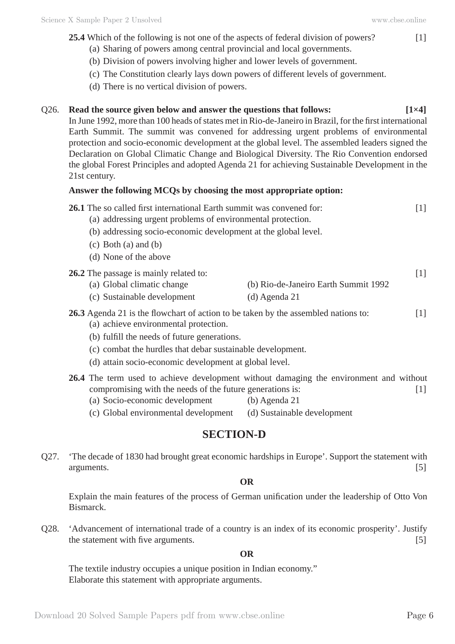- **25.4** Which of the following is not one of the aspects of federal division of powers? [1]
	- (a) Sharing of powers among central provincial and local governments.
	- (b) Division of powers involving higher and lower levels of government.
	- (c) The Constitution clearly lays down powers of different levels of government.
	- (d) There is no vertical division of powers.

# Q26. **Read the source given below and answer the questions that follows: [1×4]**

In June 1992, more than 100 heads of states met in Rio-de-Janeiro in Brazil, for the first international Earth Summit. The summit was convened for addressing urgent problems of environmental protection and socio-economic development at the global level. The assembled leaders signed the Declaration on Global Climatic Change and Biological Diversity. The Rio Convention endorsed the global Forest Principles and adopted Agenda 21 for achieving Sustainable Development in the 21st century.

#### **Answer the following MCQs by choosing the most appropriate option:**

|  | 26.1 The so called first international Earth summit was convened for: |  |
|--|-----------------------------------------------------------------------|--|
|  |                                                                       |  |

- (a) addressing urgent problems of environmental protection.
- (b) addressing socio-economic development at the global level.
- (c) Both (a) and (b)
- (d) None of the above

#### **26.2** The passage is mainly related to: [1]

- (a) Global climatic change (b) Rio-de-Janeiro Earth Summit 1992
- (c) Sustainable development (d) Agenda 21

## **26.3** Agenda 21 is the flowchart of action to be taken by the assembled nations to: [1]

- (a) achieve environmental protection.
- (b) fulfill the needs of future generations.
- (c) combat the hurdles that debar sustainable development.
- (d) attain socio-economic development at global level.
- **26.4** The term used to achieve development without damaging the environment and without compromising with the needs of the future generations is: [1] (a) Socio-economic development (b) Agenda 21
	- (c) Global environmental development (d) Sustainable development

# **SECTION-D**

Q27. 'The decade of 1830 had brought great economic hardships in Europe'. Support the statement with arguments. [5]

#### **OR**

Explain the main features of the process of German unification under the leadership of Otto Von Bismarck.

Q28. 'Advancement of international trade of a country is an index of its economic prosperity'. Justify the statement with five arguments.  $[5]$ 

#### **OR**

The textile industry occupies a unique position in Indian economy." Elaborate this statement with appropriate arguments.